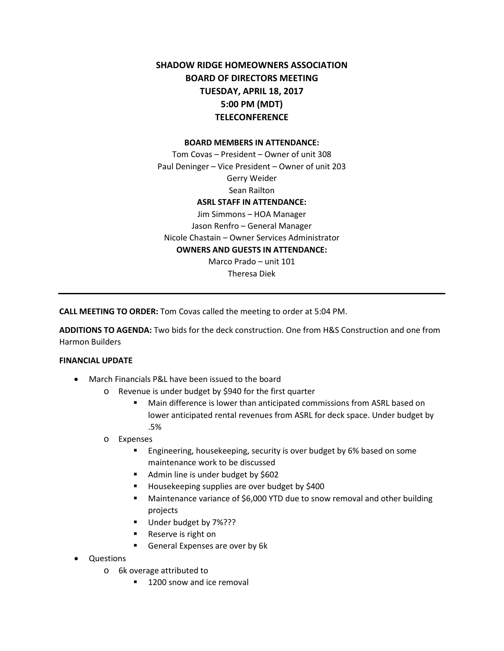# **SHADOW RIDGE HOMEOWNERS ASSOCIATION BOARD OF DIRECTORS MEETING TUESDAY, APRIL 18, 2017 5:00 PM (MDT) TELECONFERENCE**

#### **BOARD MEMBERS IN ATTENDANCE:**

Tom Covas – President – Owner of unit 308 Paul Deninger – Vice President – Owner of unit 203 Gerry Weider Sean Railton **ASRL STAFF IN ATTENDANCE:**  Jim Simmons – HOA Manager

Jason Renfro – General Manager Nicole Chastain – Owner Services Administrator **OWNERS AND GUESTS IN ATTENDANCE:** Marco Prado – unit 101

Theresa Diek

**CALL MEETING TO ORDER:** Tom Covas called the meeting to order at 5:04 PM.

**ADDITIONS TO AGENDA:** Two bids for the deck construction. One from H&S Construction and one from Harmon Builders

#### **FINANCIAL UPDATE**

- March Financials P&L have been issued to the board
	- o Revenue is under budget by \$940 for the first quarter
		- Main difference is lower than anticipated commissions from ASRL based on lower anticipated rental revenues from ASRL for deck space. Under budget by .5%
	- o Expenses
		- **Engineering, housekeeping, security is over budget by 6% based on some** maintenance work to be discussed
		- Admin line is under budget by \$602
		- Housekeeping supplies are over budget by \$400
		- Maintenance variance of \$6,000 YTD due to snow removal and other building projects
		- Under budget by 7%???
		- Reserve is right on
		- General Expenses are over by 6k
- Questions
	- o 6k overage attributed to
		- 1200 snow and ice removal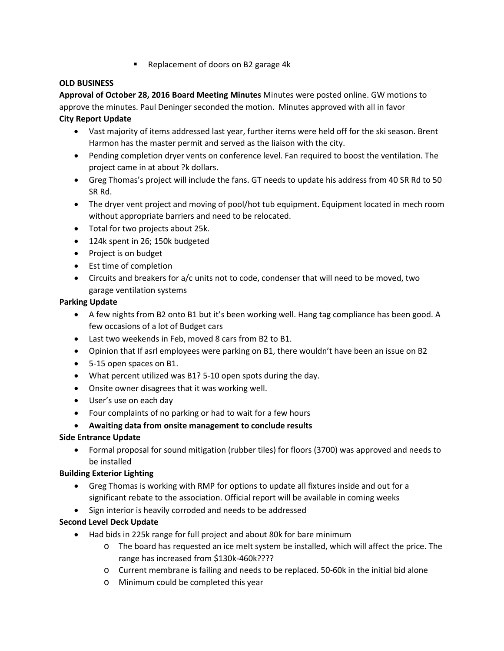**Replacement of doors on B2 garage 4k** 

# **OLD BUSINESS**

**Approval of October 28, 2016 Board Meeting Minutes** Minutes were posted online. GW motions to approve the minutes. Paul Deninger seconded the motion. Minutes approved with all in favor

### **City Report Update**

- Vast majority of items addressed last year, further items were held off for the ski season. Brent Harmon has the master permit and served as the liaison with the city.
- Pending completion dryer vents on conference level. Fan required to boost the ventilation. The project came in at about ?k dollars.
- Greg Thomas's project will include the fans. GT needs to update his address from 40 SR Rd to 50 SR Rd.
- The dryer vent project and moving of pool/hot tub equipment. Equipment located in mech room without appropriate barriers and need to be relocated.
- Total for two projects about 25k.
- 124k spent in 26; 150k budgeted
- Project is on budget
- Est time of completion
- Circuits and breakers for a/c units not to code, condenser that will need to be moved, two garage ventilation systems

### **Parking Update**

- A few nights from B2 onto B1 but it's been working well. Hang tag compliance has been good. A few occasions of a lot of Budget cars
- Last two weekends in Feb, moved 8 cars from B2 to B1.
- Opinion that If asrl employees were parking on B1, there wouldn't have been an issue on B2
- 5-15 open spaces on B1.
- What percent utilized was B1? 5-10 open spots during the day.
- Onsite owner disagrees that it was working well.
- User's use on each day
- Four complaints of no parking or had to wait for a few hours
- **Awaiting data from onsite management to conclude results**

# **Side Entrance Update**

• Formal proposal for sound mitigation (rubber tiles) for floors (3700) was approved and needs to be installed

# **Building Exterior Lighting**

- Greg Thomas is working with RMP for options to update all fixtures inside and out for a significant rebate to the association. Official report will be available in coming weeks
- Sign interior is heavily corroded and needs to be addressed

# **Second Level Deck Update**

- Had bids in 225k range for full project and about 80k for bare minimum
	- o The board has requested an ice melt system be installed, which will affect the price. The range has increased from \$130k-460k????
	- o Current membrane is failing and needs to be replaced. 50-60k in the initial bid alone
	- o Minimum could be completed this year